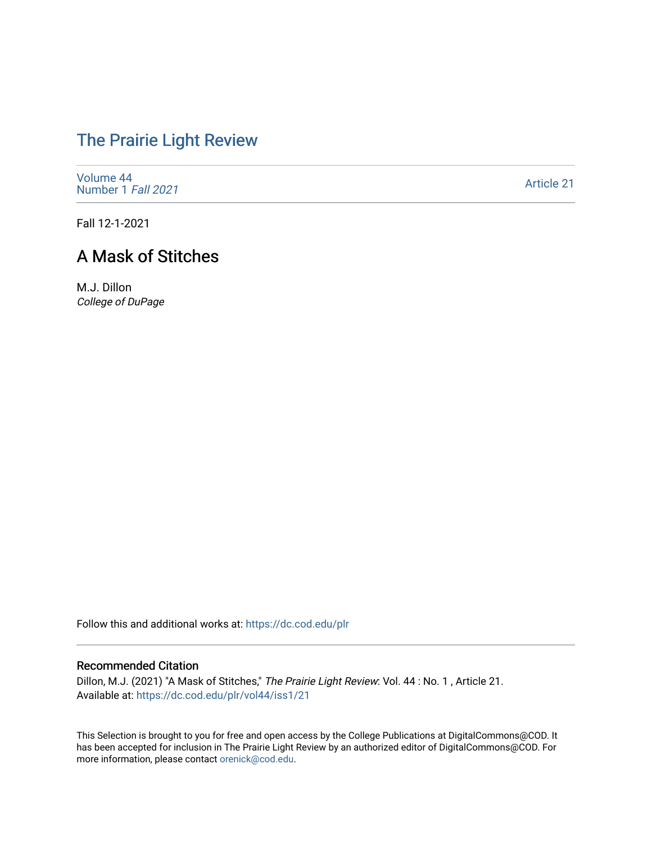# [The Prairie Light Review](https://dc.cod.edu/plr)

[Volume 44](https://dc.cod.edu/plr/vol44) [Number 1](https://dc.cod.edu/plr/vol44/iss1) Fall 2021

[Article 21](https://dc.cod.edu/plr/vol44/iss1/21) 

Fall 12-1-2021

# A Mask of Stitches

M.J. Dillon College of DuPage

Follow this and additional works at: [https://dc.cod.edu/plr](https://dc.cod.edu/plr?utm_source=dc.cod.edu%2Fplr%2Fvol44%2Fiss1%2F21&utm_medium=PDF&utm_campaign=PDFCoverPages) 

### Recommended Citation

Dillon, M.J. (2021) "A Mask of Stitches," The Prairie Light Review: Vol. 44 : No. 1 , Article 21. Available at: [https://dc.cod.edu/plr/vol44/iss1/21](https://dc.cod.edu/plr/vol44/iss1/21?utm_source=dc.cod.edu%2Fplr%2Fvol44%2Fiss1%2F21&utm_medium=PDF&utm_campaign=PDFCoverPages)

This Selection is brought to you for free and open access by the College Publications at DigitalCommons@COD. It has been accepted for inclusion in The Prairie Light Review by an authorized editor of DigitalCommons@COD. For more information, please contact [orenick@cod.edu.](mailto:orenick@cod.edu)